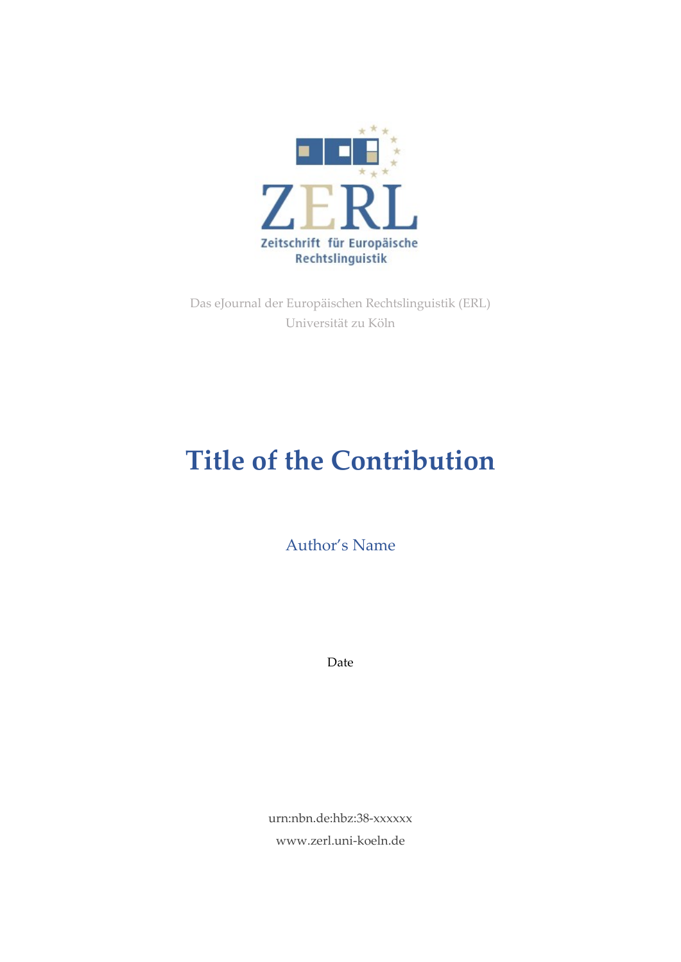

Das eJournal der Europäischen Rechtslinguistik (ERL) Universität zu Köln

# **Title of the Contribution**

Author's Name

Date

urn:nbn.de:hbz:38-xxxxxx www.zerl.uni-koeln.de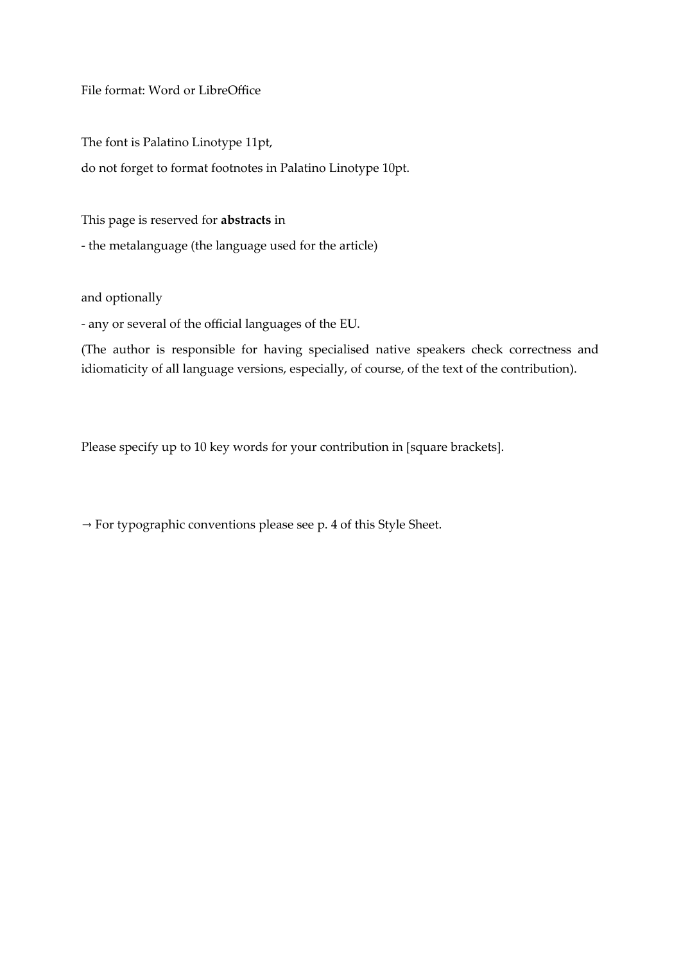File format: Word or LibreOffice

The font is Palatino Linotype 11pt,

do not forget to format footnotes in Palatino Linotype 10pt.

This page is reserved for **abstracts** in

- the metalanguage (the language used for the article)

and optionally

- any or several of the official languages of the EU.

(The author is responsible for having specialised native speakers check correctness and idiomaticity of all language versions, especially, of course, of the text of the contribution).

Please specify up to 10 key words for your contribution in [square brackets].

 $\rightarrow$  For typographic conventions please see p. 4 of this Style Sheet.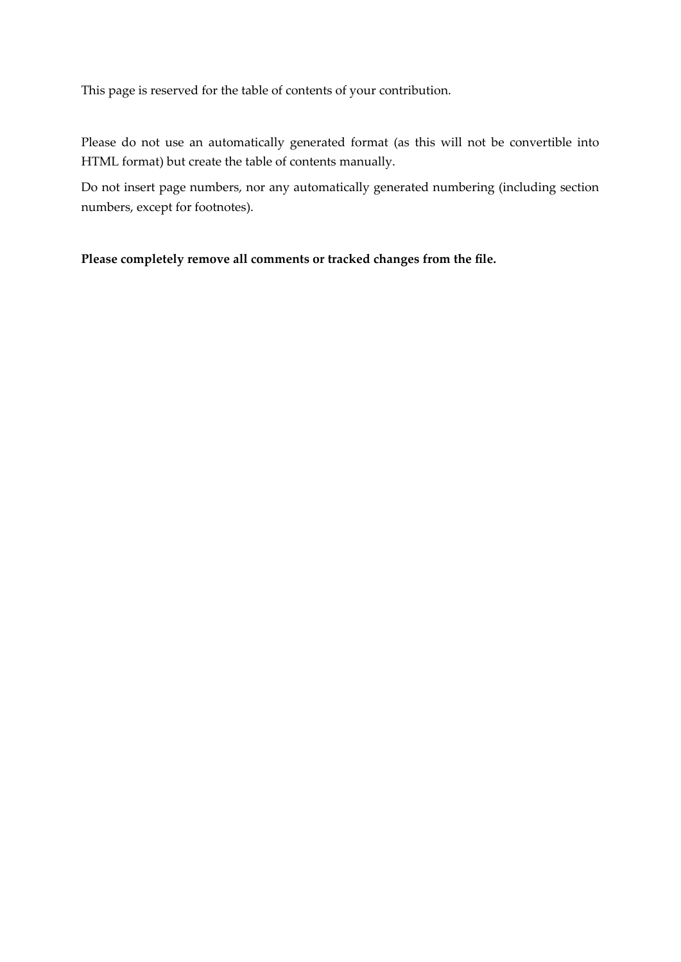This page is reserved for the table of contents of your contribution.

Please do not use an automatically generated format (as this will not be convertible into HTML format) but create the table of contents manually.

Do not insert page numbers, nor any automatically generated numbering (including section numbers, except for footnotes).

**Please completely remove all comments or tracked changes from the file.**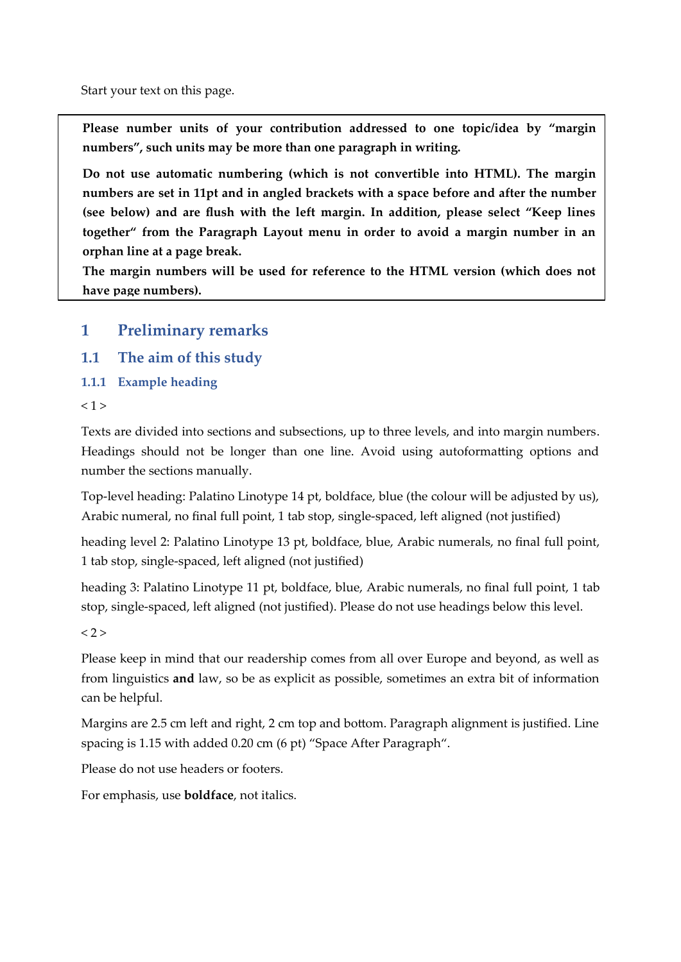Start your text on this page.

**Please number units of your contribution addressed to one topic/idea by "margin numbers", such units may be more than one paragraph in writing.** 

**Do not use automatic numbering (which is not convertible into HTML). The margin numbers are set in 11pt and in angled brackets with a space before and after the number (see below) and are flush with the left margin. In addition, please select "Keep lines together" from the Paragraph Layout menu in order to avoid a margin number in an orphan line at a page break.**

**The margin numbers will be used for reference to the HTML version (which does not have page numbers).**

- **1 Preliminary remarks**
- **1.1 The aim of this study**
- **1.1.1 Example heading**

```
< 1 >
```
Texts are divided into sections and subsections, up to three levels, and into margin numbers. Headings should not be longer than one line. Avoid using autoformatting options and number the sections manually.

Top-level heading: Palatino Linotype 14 pt, boldface, blue (the colour will be adjusted by us), Arabic numeral, no final full point, 1 tab stop, single-spaced, left aligned (not justified)

heading level 2: Palatino Linotype 13 pt, boldface, blue, Arabic numerals, no final full point, 1 tab stop, single-spaced, left aligned (not justified)

heading 3: Palatino Linotype 11 pt, boldface, blue, Arabic numerals, no final full point, 1 tab stop, single-spaced, left aligned (not justified). Please do not use headings below this level.

 $< 2 >$ 

Please keep in mind that our readership comes from all over Europe and beyond, as well as from linguistics **and** law, so be as explicit as possible, sometimes an extra bit of information can be helpful.

Margins are 2.5 cm left and right, 2 cm top and bottom. Paragraph alignment is justified. Line spacing is 1.15 with added 0.20 cm (6 pt) "Space After Paragraph".

Please do not use headers or footers.

For emphasis, use **boldface**, not italics.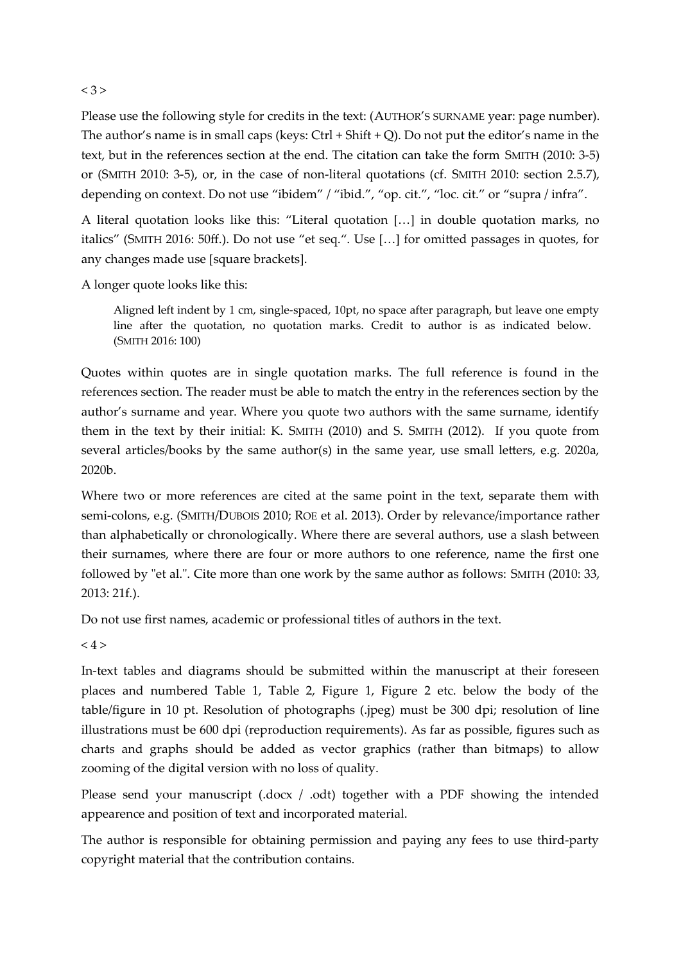#### $< 3 >$

Please use the following style for credits in the text: (AUTHOR'S SURNAME year: page number). The author's name is in small caps (keys:  $Ctrl + Shift + Q$ ). Do not put the editor's name in the text, but in the references section at the end. The citation can take the form SMITH (2010: 3-5) or (SMITH 2010: 3-5), or, in the case of non-literal quotations (cf. SMITH 2010: section 2.5.7), depending on context. Do not use "ibidem" / "ibid.", "op. cit.", "loc. cit." or "supra / infra".

A literal quotation looks like this: "Literal quotation […] in double quotation marks, no italics" (SMITH 2016: 50ff.). Do not use "et seq.". Use […] for omitted passages in quotes, for any changes made use [square brackets].

A longer quote looks like this:

Aligned left indent by 1 cm, single-spaced, 10pt, no space after paragraph, but leave one empty line after the quotation, no quotation marks. Credit to author is as indicated below. (SMITH 2016: 100)

Quotes within quotes are in single quotation marks. The full reference is found in the references section. The reader must be able to match the entry in the references section by the author's surname and year. Where you quote two authors with the same surname, identify them in the text by their initial: K. SMITH (2010) and S. SMITH (2012). If you quote from several articles/books by the same author(s) in the same year, use small letters, e.g. 2020a, 2020b.

Where two or more references are cited at the same point in the text, separate them with semi-colons, e.g. (SMITH/DUBOIS 2010; ROE et al. 2013). Order by relevance/importance rather than alphabetically or chronologically. Where there are several authors, use a slash between their surnames, where there are four or more authors to one reference, name the first one followed by "et al.". Cite more than one work by the same author as follows: SMITH (2010: 33, 2013: 21f.).

Do not use first names, academic or professional titles of authors in the text.

 $< 4 >$ 

In-text tables and diagrams should be submitted within the manuscript at their foreseen places and numbered Table 1, Table 2, Figure 1, Figure 2 etc. below the body of the table/figure in 10 pt. Resolution of photographs (.jpeg) must be 300 dpi; resolution of line illustrations must be 600 dpi (reproduction requirements). As far as possible, figures such as charts and graphs should be added as vector graphics (rather than bitmaps) to allow zooming of the digital version with no loss of quality.

Please send your manuscript (.docx / .odt) together with a PDF showing the intended appearence and position of text and incorporated material.

The author is responsible for obtaining permission and paying any fees to use third-party copyright material that the contribution contains.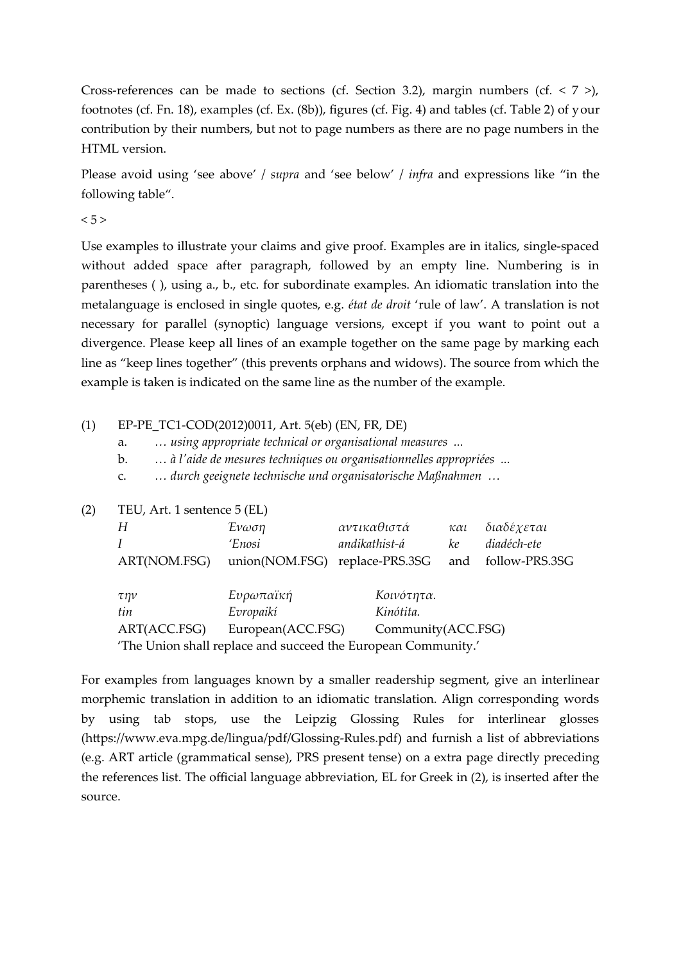Cross-references can be made to sections (cf. Section 3.2), margin numbers (cf. < 7 >), footnotes (cf. Fn. 18), examples (cf. Ex. (8b)), figures (cf. Fig. 4) and tables (cf. Table 2) of your contribution by their numbers, but not to page numbers as there are no page numbers in the HTML version.

Please avoid using 'see above' / *supra* and 'see below' / *infra* and expressions like "in the following table".

 $< 5 >$ 

Use examples to illustrate your claims and give proof. Examples are in italics, single-spaced without added space after paragraph, followed by an empty line. Numbering is in parentheses ( ), using a., b., etc. for subordinate examples. An idiomatic translation into the metalanguage is enclosed in single quotes, e.g. *état de droit* 'rule of law'. A translation is not necessary for parallel (synoptic) language versions, except if you want to point out a divergence. Please keep all lines of an example together on the same page by marking each line as "keep lines together" (this prevents orphans and widows). The source from which the example is taken is indicated on the same line as the number of the example.

(1) EP-PE\_TC1-COD(2012)0011, Art. 5(eb) (EN, FR, DE)

a. *… using appropriate technical or organisational measures ...*

b. *… à l'aide de mesures techniques ou organisationnelles appropriées ...*

c. *… durch geeignete technische und organisatorische Maßnahmen …*

(2) TEU, Art. 1 sentence 5 (EL)

| Н                                                             | Ένωση             | αντικαθιστά        | $\kappa \alpha \iota$ | διαδέχεται     |
|---------------------------------------------------------------|-------------------|--------------------|-----------------------|----------------|
|                                                               | 'Enosi            | andikathist-á      | ke                    | diadéch-ete    |
| ART(NOM.FSG)                                                  | union(NOM.FSG)    | replace-PRS.3SG    | and                   | follow-PRS.3SG |
|                                                               |                   |                    |                       |                |
| την                                                           | Ευρωπαϊκή         | Κοινότητα.         |                       |                |
| tin                                                           | Evropaikí         | Kinótita.          |                       |                |
| ART(ACC.FSG)                                                  | European(ACC.FSG) | Community(ACC.FSG) |                       |                |
| 'The Union shall replace and succeed the European Community.' |                   |                    |                       |                |

For examples from languages known by a smaller readership segment, give an interlinear morphemic translation in addition to an idiomatic translation. Align corresponding words by using tab stops, use the Leipzig Glossing Rules for interlinear glosses (https://www.eva.mpg.de/lingua/pdf/Glossing-Rules.pdf) and furnish a list of abbreviations (e.g. ART article (grammatical sense), PRS present tense) on a extra page directly preceding the references list. The official language abbreviation, EL for Greek in (2), is inserted after the source.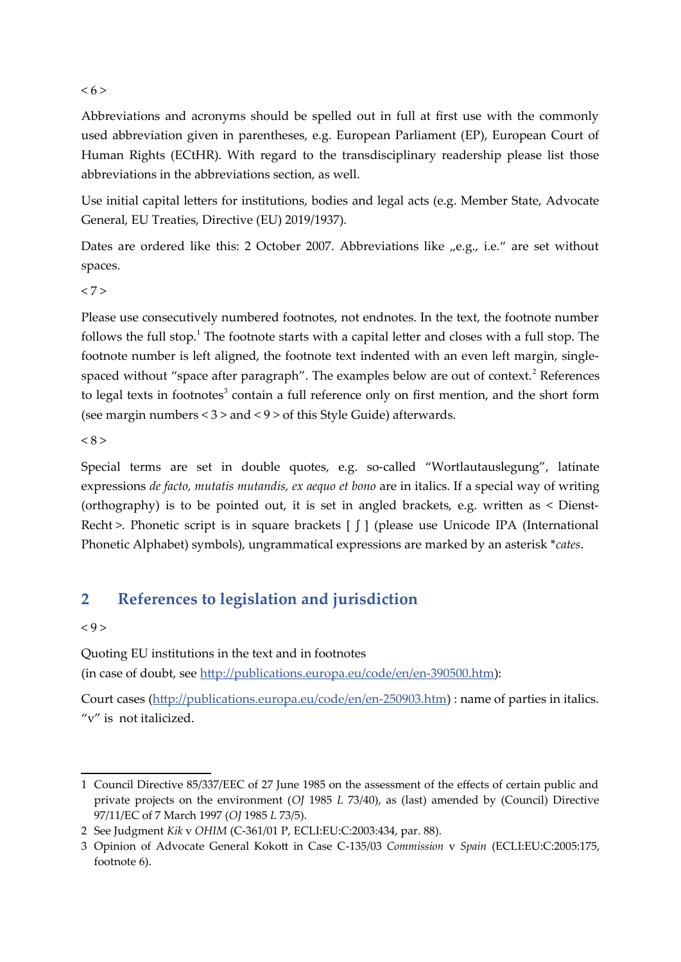#### $< 6$

Abbreviations and acronyms should be spelled out in full at first use with the commonly used abbreviation given in parentheses, e.g. European Parliament (EP), European Court of Human Rights (ECtHR). With regard to the transdisciplinary readership please list those abbreviations in the abbreviations section, as well.

Use initial capital letters for institutions, bodies and legal acts (e.g. Member State, Advocate General, EU Treaties, Directive (EU) 2019/1937).

Dates are ordered like this: 2 October 2007. Abbreviations like "e.g., i.e." are set without spaces.

 $< 7 >$ 

Please use consecutively numbered footnotes, not endnotes. In the text, the footnote number follows the full stop.<sup>[1](#page-6-0)</sup> The footnote starts with a capital letter and closes with a full stop. The footnote number is left aligned, the footnote text indented with an even left margin, single-spaced without "space after paragraph". The examples below are out of context.<sup>[2](#page-6-1)</sup> References to legal texts in footnotes<sup>[3](#page-6-2)</sup> contain a full reference only on first mention, and the short form (see margin numbers < 3 > and < 9 > of this Style Guide) afterwards.

 $< 8 >$ 

Special terms are set in double quotes, e.g. so-called "Wortlautauslegung", latinate expressions *de facto, mutatis mutandis, ex aequo et bono* are in italics. If a special way of writing (orthography) is to be pointed out, it is set in angled brackets, e.g. written as < Dienst-Recht >. Phonetic script is in square brackets  $\begin{bmatrix} \int \end{bmatrix}$  (please use Unicode IPA (International Phonetic Alphabet) symbols), ungrammatical expressions are marked by an asterisk \**cates*.

## **2 References to legislation and jurisdiction**

#### $< 9 >$

Quoting EU institutions in the text and in footnotes

(in case of doubt, see <http://publications.europa.eu/code/en/en-390500.htm>):

Court cases [\(http://publications.europa.eu/code/en/en-250903.htm\)](http://publications.europa.eu/code/en/en-250903.htm) : name of parties in italics. "v" is not italicized.

<span id="page-6-0"></span><sup>1</sup> Council Directive 85/337/EEC of 27 June 1985 on the assessment of the effects of certain public and private projects on the environment (*OJ* 1985 *L* 73/40), as (last) amended by (Council) Directive 97/11/EC of 7 March 1997 (*OJ* 1985 *L* 73/5).

<span id="page-6-1"></span><sup>2</sup> See Judgment *Kik* v *OHIM* (C-361/01 P, ECLI:EU:C:2003:434, par. 88).

<span id="page-6-2"></span><sup>3</sup> Opinion of Advocate General Kokott in Case C-135/03 *Commission* v *Spain* (ECLI:EU:C:2005:175, footnote 6).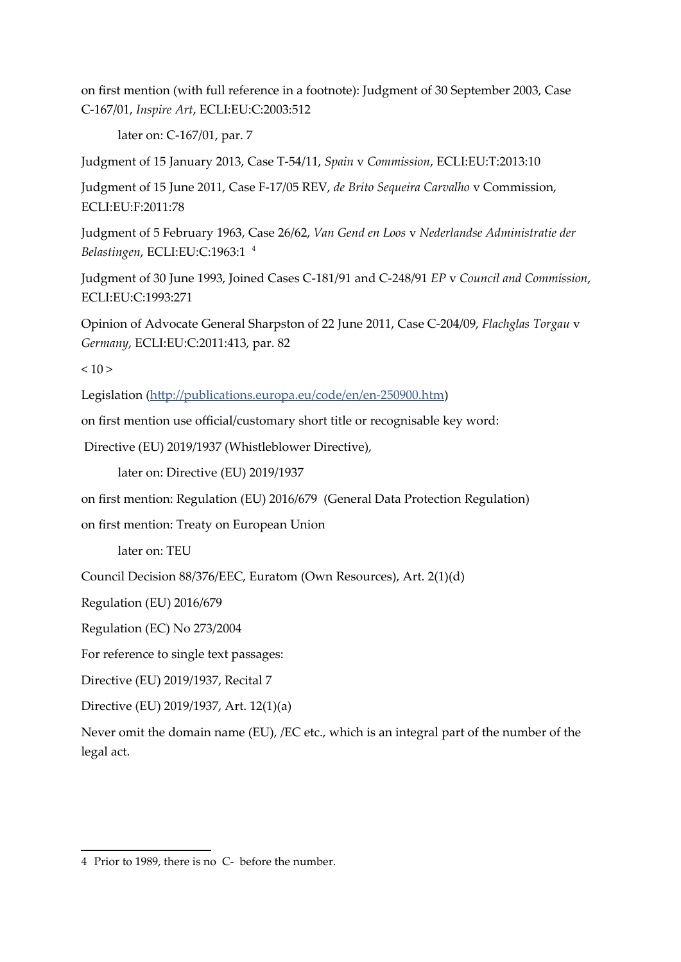on first mention (with full reference in a footnote): Judgment of 30 September 2003, Case C-167/01, *Inspire Art*, ECLI:EU:C:2003:512

later on: C-167/01, par. 7

Judgment of 15 January 2013, Case T-54/11, *Spain* v *Commission*, ECLI:EU:T:2013:10

Judgment of 15 June 2011, Case F-17/05 REV, *de Brito Sequeira Carvalho* v Commission, ECLI:EU:F:2011:78

Judgment of 5 February 1963, Case 26/62, *Van Gend en Loos* v *Nederlandse Administratie der Belastingen*, ECLI:EU:C:1963:1 [4](#page-7-0)

Judgment of 30 June 1993, Joined Cases C-181/91 and C-248/91 *EP* v *Council and Commission*, ECLI:EU:C:1993:271

Opinion of Advocate General Sharpston of 22 June 2011, Case C-204/09, *Flachglas Torgau* v *Germany*, ECLI:EU:C:2011:413, par. 82

 $10 >$ 

Legislation [\(http://publications.europa.eu/code/en/en-250900.htm](http://publications.europa.eu/code/en/en-250900.htm))

on first mention use official/customary short title or recognisable key word:

Directive (EU) 2019/1937 (Whistleblower Directive),

later on: Directive (EU) 2019/1937

on first mention: Regulation (EU) 2016/679 (General Data Protection Regulation)

on first mention: Treaty on European Union

later on: TEU

Council Decision 88/376/EEC, Euratom (Own Resources), Art. 2(1)(d)

Regulation (EU) 2016/679

Regulation (EC) No 273/2004

For reference to single text passages:

Directive (EU) 2019/1937, Recital 7

Directive (EU) 2019/1937, Art. 12(1)(a)

Never omit the domain name (EU), /EC etc., which is an integral part of the number of the legal act.

<span id="page-7-0"></span><sup>4</sup> Prior to 1989, there is no C- before the number.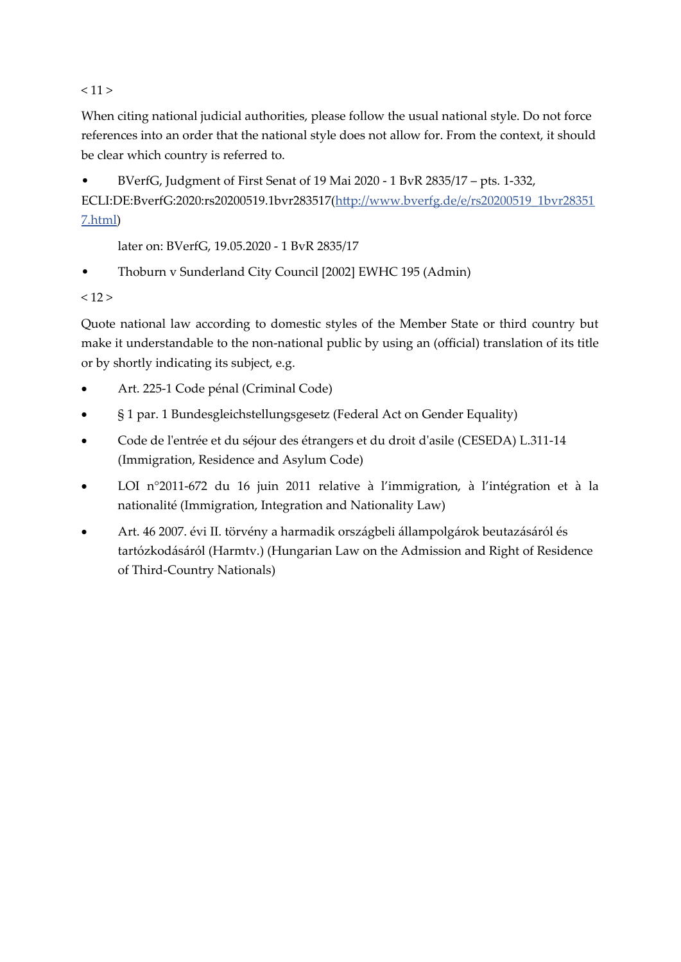$< 11$ 

When citing national judicial authorities, please follow the usual national style. Do not force references into an order that the national style does not allow for. From the context, it should be clear which country is referred to.

• BVerfG, Judgment of First Senat of 19 Mai 2020 - 1 BvR 2835/17 – pts. 1-332, ECLI:DE:BverfG:2020:rs20200519.1bvr283517[\(http://www.bverfg.de/e/rs20200519\\_1bvr28351](http://www.bverfg.de/e/rs20200519_1bvr283517.html) [7.html](http://www.bverfg.de/e/rs20200519_1bvr283517.html))

later on: BVerfG, 19.05.2020 - 1 BvR 2835/17

• Thoburn v Sunderland City Council [2002] EWHC 195 (Admin)

 $< 12 >$ 

Quote national law according to domestic styles of the Member State or third country but make it understandable to the non-national public by using an (official) translation of its title or by shortly indicating its subject, e.g.

- Art. 225-1 Code pénal (Criminal Code)
- § 1 par. 1 Bundesgleichstellungsgesetz (Federal Act on Gender Equality)
- Code de l'entrée et du séjour des étrangers et du droit d'asile (CESEDA) L.311-14 (Immigration, Residence and Asylum Code)
- LOI n°2011-672 du 16 juin 2011 relative à l'immigration, à l'intégration et à la nationalité (Immigration, Integration and Nationality Law)
- Art. 46 2007. évi II. törvény a harmadik országbeli állampolgárok beutazásáról és tartózkodásáról (Harmtv.) (Hungarian Law on the Admission and Right of Residence of Third-Country Nationals)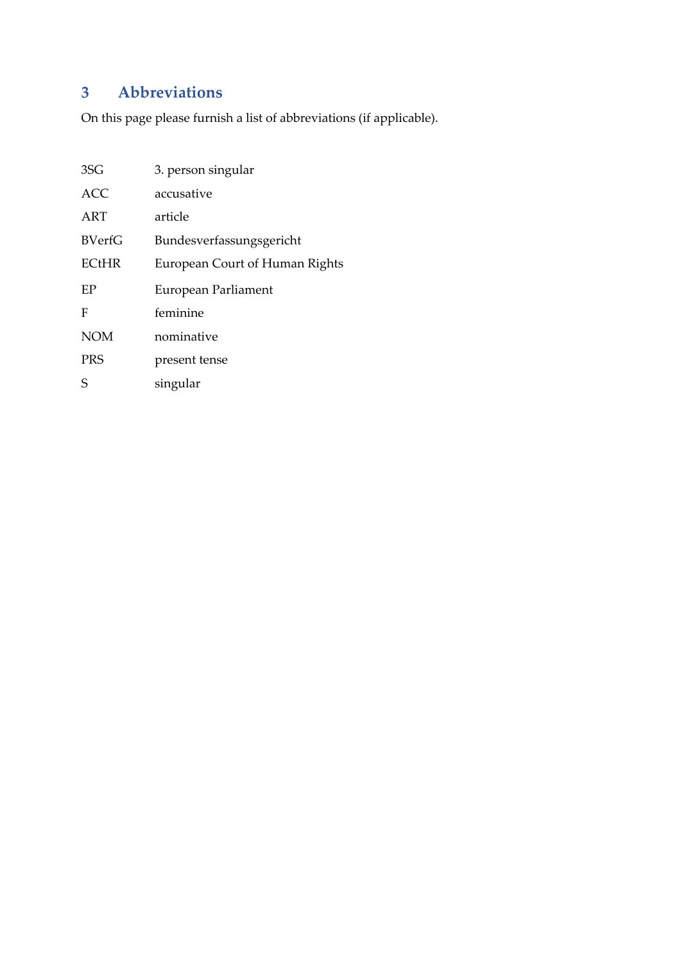## **3 Abbreviations**

On this page please furnish a list of abbreviations (if applicable).

| 3SG           | 3. person singular             |
|---------------|--------------------------------|
| <b>ACC</b>    | accusative                     |
| ART           | article                        |
| <b>BVerfG</b> | Bundesverfassungsgericht       |
| <b>ECtHR</b>  | European Court of Human Rights |
| EP            | European Parliament            |
| F             | feminine                       |
| <b>NOM</b>    | nominative                     |
| <b>PRS</b>    | present tense                  |
| S             | singular                       |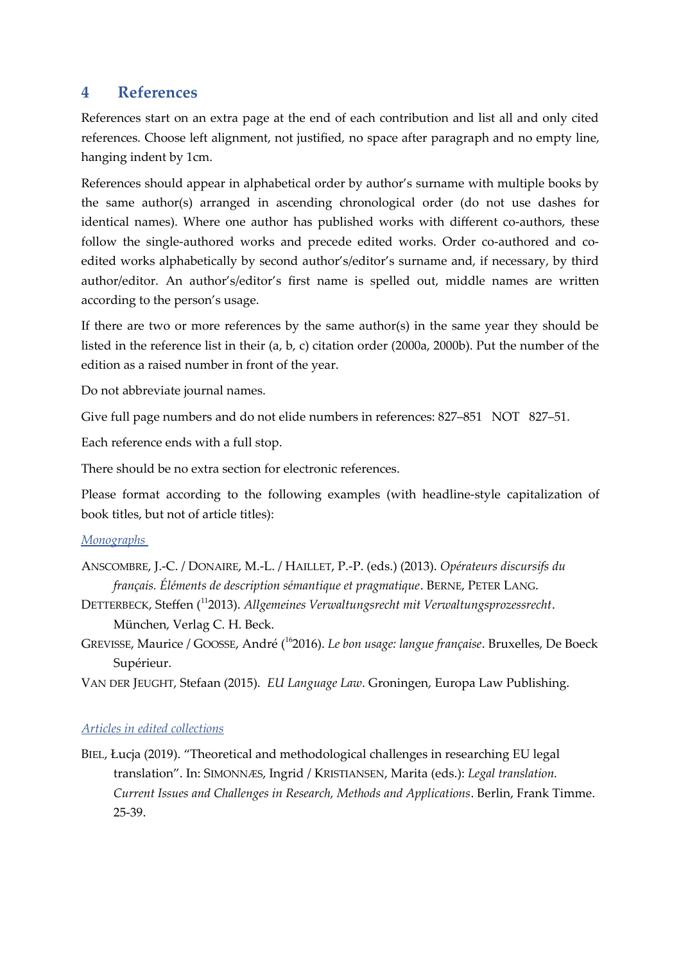### **4 References**

References start on an extra page at the end of each contribution and list all and only cited references. Choose left alignment, not justified, no space after paragraph and no empty line, hanging indent by 1cm.

References should appear in alphabetical order by author's surname with multiple books by the same author(s) arranged in ascending chronological order (do not use dashes for identical names). Where one author has published works with different co-authors, these follow the single-authored works and precede edited works. Order co-authored and coedited works alphabetically by second author's/editor's surname and, if necessary, by third author/editor. An author's/editor's first name is spelled out, middle names are written according to the person's usage.

If there are two or more references by the same author(s) in the same year they should be listed in the reference list in their (a, b, c) citation order (2000a, 2000b). Put the number of the edition as a raised number in front of the year.

Do not abbreviate journal names.

Give full page numbers and do not elide numbers in references: 827–851 NOT 827–51.

Each reference ends with a full stop.

There should be no extra section for electronic references.

Please format according to the following examples (with headline-style capitalization of book titles, but not of article titles):

#### *Monographs*

- ANSCOMBRE, J.-C. / DONAIRE, M.-L. / HAILLET, P.-P. (eds.) (2013). *Opérateurs discursifs du français. Éléments de description sémantique et pragmatique*. BERNE, PETER LANG.
- DETTERBECK, Steffen (<sup>11</sup>2013). *Allgemeines Verwaltungsrecht mit Verwaltungsprozessrecht*. München, Verlag C. H. Beck.
- GREVISSE, Maurice / GOOSSE, André ( <sup>16</sup>2016). *Le bon usage: langue française*. Bruxelles, De Boeck Supérieur.
- VAN DER JEUGHT, Stefaan (2015). *EU Language Law*. Groningen, Europa Law Publishing.

#### *Articles in edited collections*

BIEL, Łucja (2019). "Theoretical and methodological challenges in researching EU legal translation". In: SIMONNÆS, Ingrid / KRISTIANSEN, Marita (eds.): *Legal translation. Current Issues and Challenges in Research, Methods and Applications*. Berlin, Frank Timme. 25-39.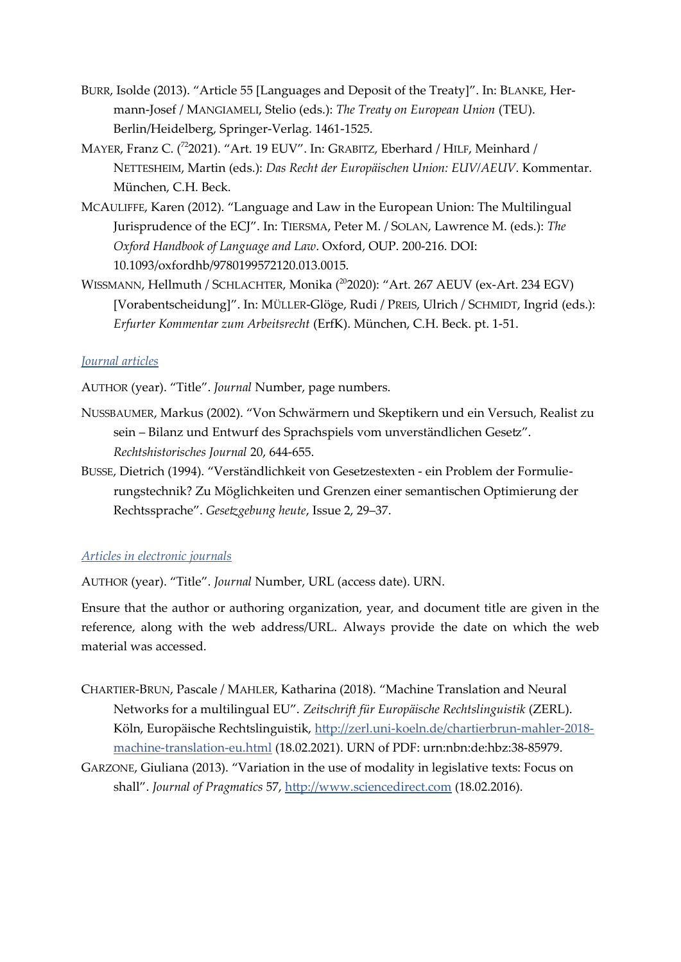- BURR, Isolde (2013). "Article 55 [Languages and Deposit of the Treaty]". In: BLANKE, Hermann-Josef / MANGIAMELI, Stelio (eds.): *The Treaty on European Union* (TEU). Berlin/Heidelberg, Springer-Verlag. 1461-1525.
- MAYER, Franz C. (<sup>72</sup>2021). "Art. 19 EUV". In: GRABITZ, Eberhard / HILF, Meinhard / NETTESHEIM, Martin (eds.): *Das Recht der Europäischen Union: EUV/AEUV*. Kommentar. München, C.H. Beck.
- MCAULIFFE, Karen (2012). "Language and Law in the European Union: The Multilingual Jurisprudence of the ECJ". In: TIERSMA, Peter M. / SOLAN, Lawrence M. (eds.): *The Oxford Handbook of Language and Law*. Oxford, OUP. 200-216. DOI: 10.1093/oxfordhb/9780199572120.013.0015.
- WISSMANN, Hellmuth / SCHLACHTER, Monika (<sup>20</sup>2020): "Art. 267 AEUV (ex-Art. 234 EGV) [Vorabentscheidung]". In: MÜLLER-Glöge, Rudi / PREIS, Ulrich / SCHMIDT, Ingrid (eds.): *Erfurter Kommentar zum Arbeitsrecht* (ErfK). München, C.H. Beck. pt. 1-51.

#### *Journal articles*

AUTHOR (year). "Title". *Journal* Number, page numbers.

- NUSSBAUMER, Markus (2002). "Von Schwärmern und Skeptikern und ein Versuch, Realist zu sein – Bilanz und Entwurf des Sprachspiels vom unverständlichen Gesetz". *Rechtshistorisches Journal* 20, 644-655.
- BUSSE, Dietrich (1994). "Verständlichkeit von Gesetzestexten ein Problem der Formulierungstechnik? Zu Möglichkeiten und Grenzen einer semantischen Optimierung der Rechtssprache". *Gesetzgebung heute*, Issue 2, 29–37.

#### *Articles in electronic journals*

AUTHOR (year). "Title". *Journal* Number, URL (access date). URN.

Ensure that the author or authoring organization, year, and document title are given in the reference, along with the web address/URL. Always provide the date on which the web material was accessed.

- CHARTIER-BRUN, Pascale / MAHLER, Katharina (2018). "Machine Translation and Neural Networks for a multilingual EU". *Zeitschrift für Europäische Rechtslinguistik* (ZERL). Köln, Europäische Rechtslinguistik, [http://zerl.uni-koeln.de/chartierbrun-mahler-2018](http://zerl.uni-koeln.de/chartierbrun-mahler-2018-machine-translation-eu.html) [machine-translation-eu.html](http://zerl.uni-koeln.de/chartierbrun-mahler-2018-machine-translation-eu.html) (18.02.2021). URN of PDF: urn:nbn:de:hbz:38-85979.
- GARZONE, Giuliana (2013). "Variation in the use of modality in legislative texts: Focus on shall". *Journal of Pragmatics* 57, [http://www.sciencedirect.com](http://www.sciencedirect.com/) (18.02.2016).